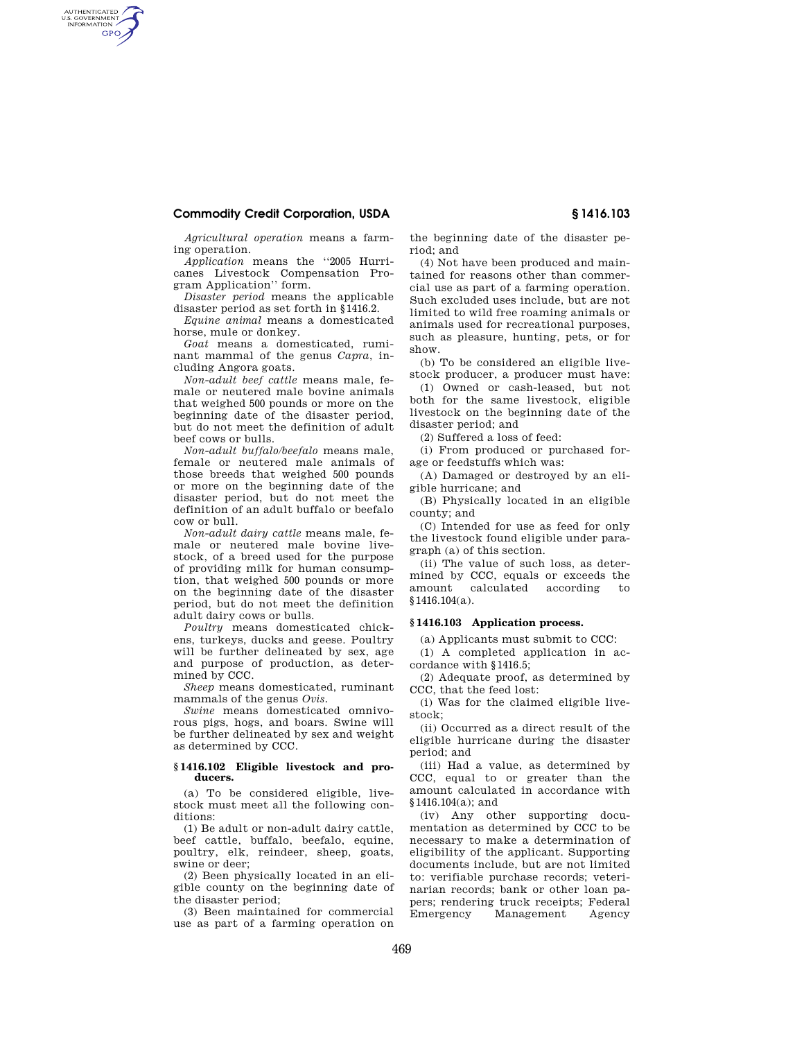# **Commodity Credit Corporation, USDA § 1416.103**

AUTHENTICATED<br>U.S. GOVERNMENT<br>INFORMATION **GPO** 

*Agricultural operation* means a farming operation.

*Application* means the ''2005 Hurricanes Livestock Compensation Program Application'' form.

*Disaster period* means the applicable disaster period as set forth in §1416.2.

*Equine animal* means a domesticated horse, mule or donkey.

*Goat* means a domesticated, ruminant mammal of the genus *Capra*, including Angora goats.

*Non-adult beef cattle* means male, female or neutered male bovine animals that weighed 500 pounds or more on the beginning date of the disaster period, but do not meet the definition of adult beef cows or bulls.

*Non-adult buffalo/beefalo* means male, female or neutered male animals of those breeds that weighed 500 pounds or more on the beginning date of the disaster period, but do not meet the definition of an adult buffalo or beefalo cow or bull.

*Non-adult dairy cattle* means male, female or neutered male bovine livestock, of a breed used for the purpose of providing milk for human consumption, that weighed 500 pounds or more on the beginning date of the disaster period, but do not meet the definition adult dairy cows or bulls.

*Poultry* means domesticated chickens, turkeys, ducks and geese. Poultry will be further delineated by sex, age and purpose of production, as determined by CCC.

*Sheep* means domesticated, ruminant mammals of the genus *Ovis.* 

*Swine* means domesticated omnivorous pigs, hogs, and boars. Swine will be further delineated by sex and weight as determined by CCC.

### **§ 1416.102 Eligible livestock and producers.**

(a) To be considered eligible, livestock must meet all the following conditions:

(1) Be adult or non-adult dairy cattle, beef cattle, buffalo, beefalo, equine, poultry, elk, reindeer, sheep, goats, swine or deer;

(2) Been physically located in an eligible county on the beginning date of the disaster period;

(3) Been maintained for commercial use as part of a farming operation on the beginning date of the disaster period; and

(4) Not have been produced and maintained for reasons other than commercial use as part of a farming operation. Such excluded uses include, but are not limited to wild free roaming animals or animals used for recreational purposes, such as pleasure, hunting, pets, or for show.

(b) To be considered an eligible livestock producer, a producer must have:

(1) Owned or cash-leased, but not both for the same livestock, eligible livestock on the beginning date of the disaster period; and

(2) Suffered a loss of feed:

(i) From produced or purchased forage or feedstuffs which was:

(A) Damaged or destroyed by an eligible hurricane; and

(B) Physically located in an eligible county; and

(C) Intended for use as feed for only the livestock found eligible under paragraph (a) of this section.

(ii) The value of such loss, as determined by CCC, equals or exceeds the amount calculated according to §1416.104(a).

#### **§ 1416.103 Application process.**

(a) Applicants must submit to CCC:

(1) A completed application in accordance with §1416.5;

(2) Adequate proof, as determined by CCC, that the feed lost:

(i) Was for the claimed eligible livestock;

(ii) Occurred as a direct result of the eligible hurricane during the disaster period; and

(iii) Had a value, as determined by CCC, equal to or greater than the amount calculated in accordance with §1416.104(a); and

(iv) Any other supporting documentation as determined by CCC to be necessary to make a determination of eligibility of the applicant. Supporting documents include, but are not limited to: verifiable purchase records; veterinarian records; bank or other loan papers; rendering truck receipts; Federal Emergency Management Agency